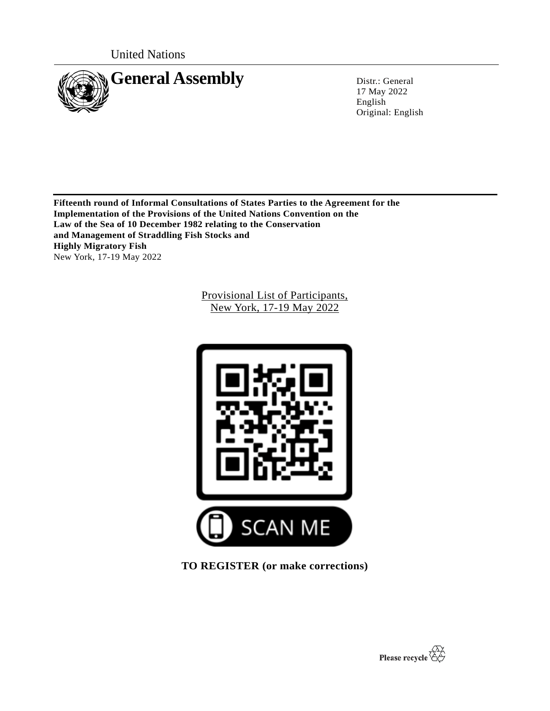United Nations



17 May 2022 English Original: English

**Fifteenth round of Informal Consultations of States Parties to the Agreement for the Implementation of the Provisions of the United Nations Convention on the Law of the Sea of 10 December 1982 relating to the Conservation and Management of Straddling Fish Stocks and Highly Migratory Fish**  New York, 17-19 May 2022

> Provisional List of Participants, New York, 17-19 May 2022



**TO REGISTER (or make corrections)**

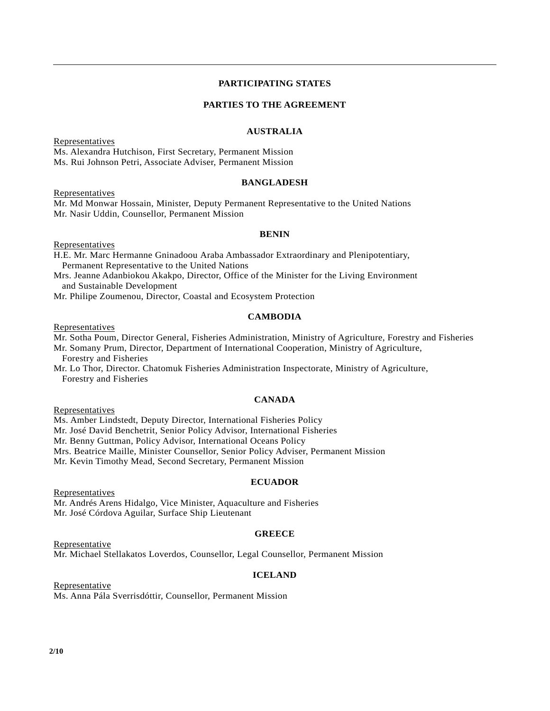## **PARTICIPATING STATES**

## **PARTIES TO THE AGREEMENT**

#### **AUSTRALIA**

**Representatives** Ms. Alexandra Hutchison, First Secretary, Permanent Mission Ms. Rui Johnson Petri, Associate Adviser, Permanent Mission

#### **BANGLADESH**

**Representatives** 

Mr. Md Monwar Hossain, Minister, Deputy Permanent Representative to the United Nations Mr. Nasir Uddin, Counsellor, Permanent Mission

#### **BENIN**

Representatives

H.E. Mr. Marc Hermanne Gninadoou Araba Ambassador Extraordinary and Plenipotentiary, Permanent Representative to the United Nations

Mrs. Jeanne Adanbiokou Akakpo, Director, Office of the Minister for the Living Environment and Sustainable Development

Mr. Philipe Zoumenou, Director, Coastal and Ecosystem Protection

#### **CAMBODIA**

Representatives

Mr. Sotha Poum, Director General, Fisheries Administration, Ministry of Agriculture, Forestry and Fisheries Mr. Somany Prum, Director, Department of International Cooperation, Ministry of Agriculture,

Forestry and Fisheries

Mr. Lo Thor, Director. Chatomuk Fisheries Administration Inspectorate, Ministry of Agriculture, Forestry and Fisheries

### **CANADA**

**Representatives** 

Ms. Amber Lindstedt, Deputy Director, International Fisheries Policy

Mr. José David Benchetrit, Senior Policy Advisor, International Fisheries

Mr. Benny Guttman, Policy Advisor, International Oceans Policy

Mrs. Beatrice Maille, Minister Counsellor, Senior Policy Adviser, Permanent Mission

Mr. Kevin Timothy Mead, Second Secretary, Permanent Mission

#### **ECUADOR**

Representatives

Mr. Andrés Arens Hidalgo, Vice Minister, Aquaculture and Fisheries Mr. José Córdova Aguilar, Surface Ship Lieutenant

## **GREECE**

Representative Mr. Michael Stellakatos Loverdos, Counsellor, Legal Counsellor, Permanent Mission

### **ICELAND**

Representative Ms. Anna Pála Sverrisdóttir, Counsellor, Permanent Mission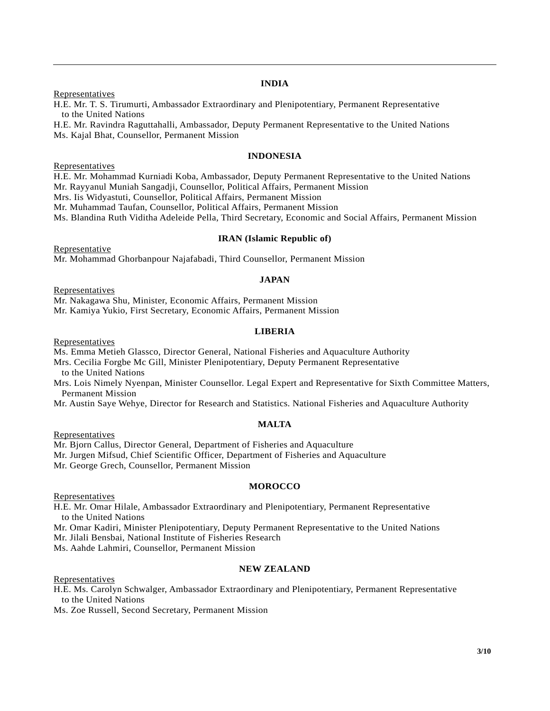# **INDIA**

**Representatives** 

H.E. Mr. T. S. Tirumurti, Ambassador Extraordinary and Plenipotentiary, Permanent Representative to the United Nations

H.E. Mr. Ravindra Raguttahalli, Ambassador, Deputy Permanent Representative to the United Nations Ms. Kajal Bhat, Counsellor, Permanent Mission

#### **INDONESIA**

Representatives

H.E. Mr. Mohammad Kurniadi Koba, Ambassador, Deputy Permanent Representative to the United Nations Mr. Rayyanul Muniah Sangadji, Counsellor, Political Affairs, Permanent Mission

Mrs. Iis Widyastuti, Counsellor, Political Affairs, Permanent Mission

Mr. Muhammad Taufan, Counsellor, Political Affairs, Permanent Mission

Ms. Blandina Ruth Viditha Adeleide Pella, Third Secretary, Economic and Social Affairs, Permanent Mission

#### **IRAN (Islamic Republic of)**

Representative Mr. Mohammad Ghorbanpour Najafabadi, Third Counsellor, Permanent Mission

#### **JAPAN**

**Representatives** 

Mr. Nakagawa Shu, Minister, Economic Affairs, Permanent Mission

Mr. Kamiya Yukio, First Secretary, Economic Affairs, Permanent Mission

#### **LIBERIA**

Representatives

Ms. Emma Metieh Glassco, Director General, National Fisheries and Aquaculture Authority

Mrs. Cecilia Forgbe Mc Gill, Minister Plenipotentiary, Deputy Permanent Representative to the United Nations

Mrs. Lois Nimely Nyenpan, Minister Counsellor. Legal Expert and Representative for Sixth Committee Matters, Permanent Mission

Mr. Austin Saye Wehye, Director for Research and Statistics. National Fisheries and Aquaculture Authority

#### **MALTA**

**Representatives** 

Mr. Bjorn Callus, Director General, Department of Fisheries and Aquaculture

Mr. Jurgen Mifsud, Chief Scientific Officer, Department of Fisheries and Aquaculture

Mr. George Grech, Counsellor, Permanent Mission

#### **MOROCCO**

Representatives

H.E. Mr. Omar Hilale, Ambassador Extraordinary and Plenipotentiary, Permanent Representative to the United Nations

Mr. Omar Kadiri, Minister Plenipotentiary, Deputy Permanent Representative to the United Nations

Mr. Jilali Bensbai, National Institute of Fisheries Research

Ms. Aahde Lahmiri, Counsellor, Permanent Mission

#### **NEW ZEALAND**

Representatives

H.E. Ms. Carolyn Schwalger, Ambassador Extraordinary and Plenipotentiary, Permanent Representative to the United Nations

Ms. Zoe Russell, Second Secretary, Permanent Mission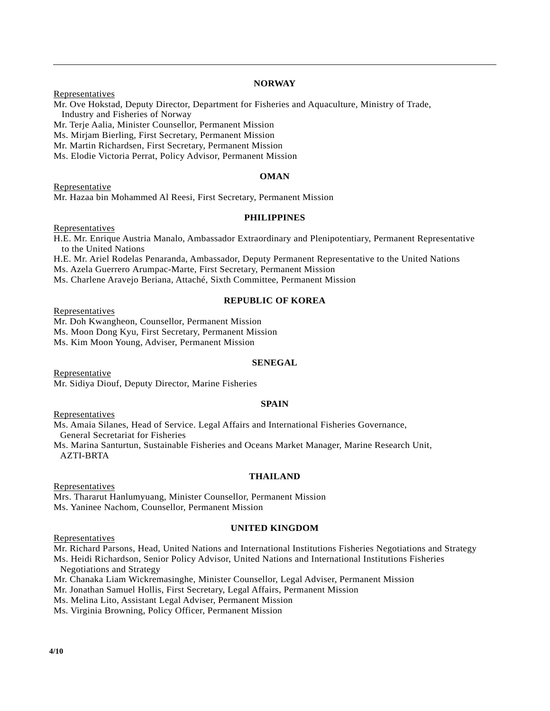# **NORWAY**

**Representatives** 

Mr. Ove Hokstad, Deputy Director, Department for Fisheries and Aquaculture, Ministry of Trade, Industry and Fisheries of Norway

Mr. Terje Aalia, Minister Counsellor, Permanent Mission

Ms. Mirjam Bierling, First Secretary, Permanent Mission

Mr. Martin Richardsen, First Secretary, Permanent Mission

Ms. Elodie Victoria Perrat, Policy Advisor, Permanent Mission

# **OMAN**

Representative Mr. Hazaa bin Mohammed Al Reesi, First Secretary, Permanent Mission

# **PHILIPPINES**

**Representatives** 

H.E. Mr. Enrique Austria Manalo, Ambassador Extraordinary and Plenipotentiary, Permanent Representative to the United Nations

H.E. Mr. Ariel Rodelas Penaranda, Ambassador, Deputy Permanent Representative to the United Nations

Ms. Azela Guerrero Arumpac-Marte, First Secretary, Permanent Mission

Ms. Charlene Aravejo Beriana, Attaché, Sixth Committee, Permanent Mission

# **REPUBLIC OF KOREA**

**Representatives** 

Mr. Doh Kwangheon, Counsellor, Permanent Mission

Ms. Moon Dong Kyu, First Secretary, Permanent Mission

Ms. Kim Moon Young, Adviser, Permanent Mission

# **SENEGAL**

Representative Mr. Sidiya Diouf, Deputy Director, Marine Fisheries

# **SPAIN**

**Representatives** 

Ms. Amaia Silanes, Head of Service. Legal Affairs and International Fisheries Governance,

General Secretariat for Fisheries

Ms. Marina Santurtun, Sustainable Fisheries and Oceans Market Manager, Marine Research Unit, AZTI-BRTA

# **THAILAND**

Representatives

Mrs. Thararut Hanlumyuang, Minister Counsellor, Permanent Mission Ms. Yaninee Nachom, Counsellor, Permanent Mission

# **UNITED KINGDOM**

**Representatives** 

Mr. Richard Parsons, Head, United Nations and International Institutions Fisheries Negotiations and Strategy

Ms. Heidi Richardson, Senior Policy Advisor, United Nations and International Institutions Fisheries Negotiations and Strategy

Mr. Chanaka Liam Wickremasinghe, Minister Counsellor, Legal Adviser, Permanent Mission

Mr. Jonathan Samuel Hollis, First Secretary, Legal Affairs, Permanent Mission

Ms. Melina Lito, Assistant Legal Adviser, Permanent Mission

Ms. Virginia Browning, Policy Officer, Permanent Mission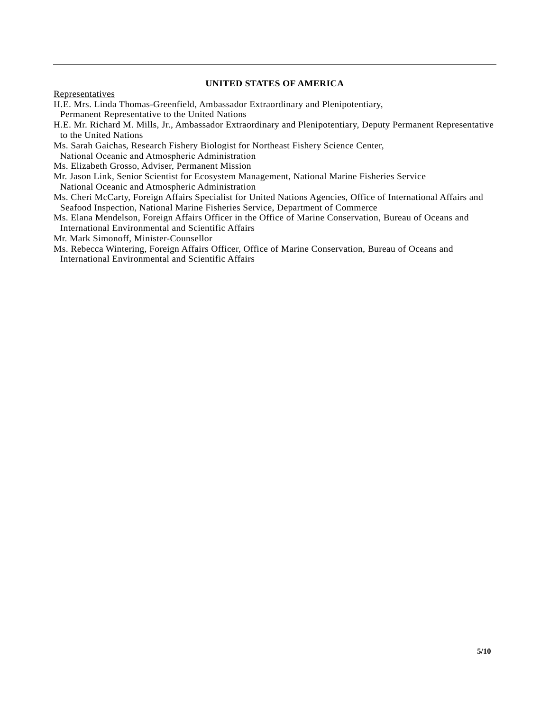## **UNITED STATES OF AMERICA**

**Representatives** 

- H.E. Mrs. Linda Thomas-Greenfield, Ambassador Extraordinary and Plenipotentiary,
- Permanent Representative to the United Nations
- H.E. Mr. Richard M. Mills, Jr., Ambassador Extraordinary and Plenipotentiary, Deputy Permanent Representative to the United Nations
- Ms. Sarah Gaichas, Research Fishery Biologist for Northeast Fishery Science Center,
- National Oceanic and Atmospheric Administration
- Ms. Elizabeth Grosso, Adviser, Permanent Mission
- Mr. Jason Link, Senior Scientist for Ecosystem Management, National Marine Fisheries Service National Oceanic and Atmospheric Administration
- Ms. Cheri McCarty, Foreign Affairs Specialist for United Nations Agencies, Office of International Affairs and Seafood Inspection, National Marine Fisheries Service, Department of Commerce
- Ms. Elana Mendelson, Foreign Affairs Officer in the Office of Marine Conservation, Bureau of Oceans and International Environmental and Scientific Affairs
- Mr. Mark Simonoff, Minister-Counsellor
- Ms. Rebecca Wintering, Foreign Affairs Officer, Office of Marine Conservation, Bureau of Oceans and International Environmental and Scientific Affairs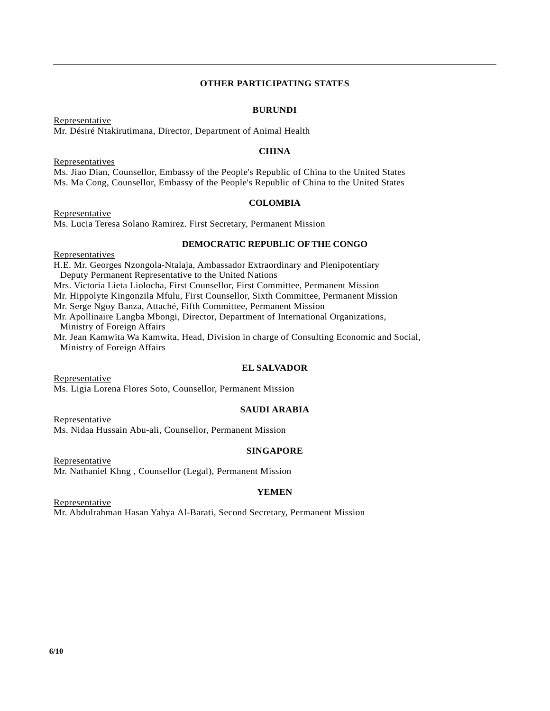## **OTHER PARTICIPATING STATES**

#### **BURUNDI**

Representative Mr. Désiré Ntakirutimana, Director, Department of Animal Health

### **CHINA**

**Representatives** 

Ms. Jiao Dian, Counsellor, Embassy of the People's Republic of China to the United States Ms. Ma Cong, Counsellor, Embassy of the People's Republic of China to the United States

## **COLOMBIA**

Representative Ms. Lucia Teresa Solano Ramirez. First Secretary, Permanent Mission

## **DEMOCRATIC REPUBLIC OF THE CONGO**

**Representatives** H.E. Mr. Georges Nzongola-Ntalaja, Ambassador Extraordinary and Plenipotentiary Deputy Permanent Representative to the United Nations Mrs. Victoria Lieta Liolocha, First Counsellor, First Committee, Permanent Mission Mr. Hippolyte Kingonzila Mfulu, First Counsellor, Sixth Committee, Permanent Mission Mr. Serge Ngoy Banza, Attaché, Fifth Committee, Permanent Mission Mr. Apollinaire Langba Mbongi, Director, Department of International Organizations, Ministry of Foreign Affairs Mr. Jean Kamwita Wa Kamwita, Head, Division in charge of Consulting Economic and Social, Ministry of Foreign Affairs

# **EL SALVADOR**

Representative Ms. Ligia Lorena Flores Soto, Counsellor, Permanent Mission

# **SAUDI ARABIA**

Representative Ms. Nidaa Hussain Abu-ali, Counsellor, Permanent Mission

#### **SINGAPORE**

Representative Mr. Nathaniel Khng , Counsellor (Legal), Permanent Mission

# **YEMEN**

Representative Mr. Abdulrahman Hasan Yahya Al-Barati, Second Secretary, Permanent Mission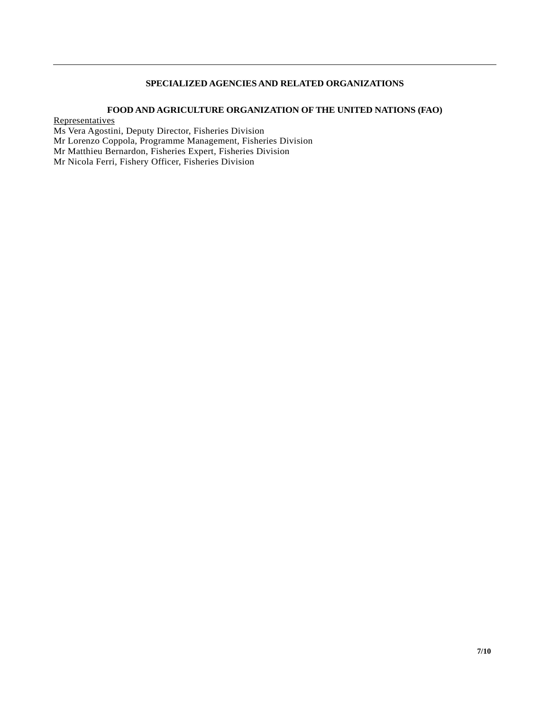# **SPECIALIZED AGENCIES AND RELATED ORGANIZATIONS**

## **FOOD AND AGRICULTURE ORGANIZATION OF THE UNITED NATIONS (FAO)**

**Representatives** 

Ms Vera Agostini, Deputy Director, Fisheries Division Mr Lorenzo Coppola, Programme Management, Fisheries Division Mr Matthieu Bernardon, Fisheries Expert, Fisheries Division

Mr Nicola Ferri, Fishery Officer, Fisheries Division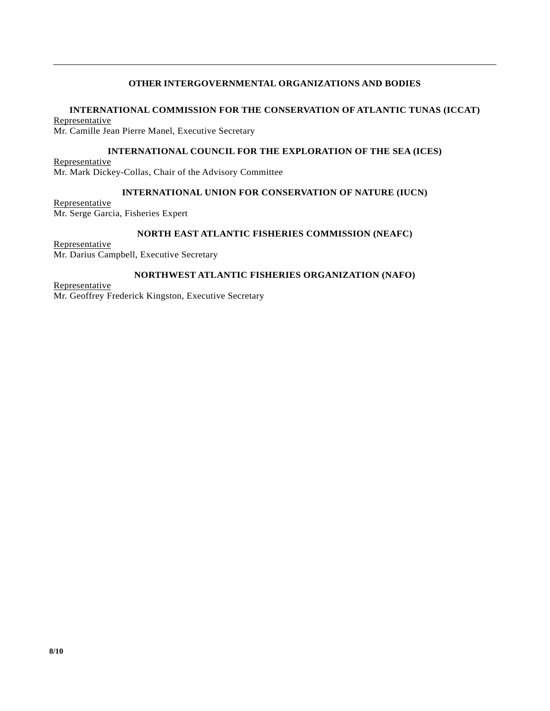# **OTHER INTERGOVERNMENTAL ORGANIZATIONS AND BODIES**

## **INTERNATIONAL COMMISSION FOR THE CONSERVATION OF ATLANTIC TUNAS (ICCAT)**

Representative Mr. Camille Jean Pierre Manel, Executive Secretary

#### **INTERNATIONAL COUNCIL FOR THE EXPLORATION OF THE SEA (ICES)**

Representative Mr. Mark Dickey-Collas, Chair of the Advisory Committee

# **INTERNATIONAL UNION FOR CONSERVATION OF NATURE (IUCN)**

**Representative** Mr. Serge Garcia, Fisheries Expert

#### **NORTH EAST ATLANTIC FISHERIES COMMISSION (NEAFC)**

Representative Mr. Darius Campbell, Executive Secretary

#### **NORTHWEST ATLANTIC FISHERIES ORGANIZATION (NAFO)**

Representative Mr. Geoffrey Frederick Kingston, Executive Secretary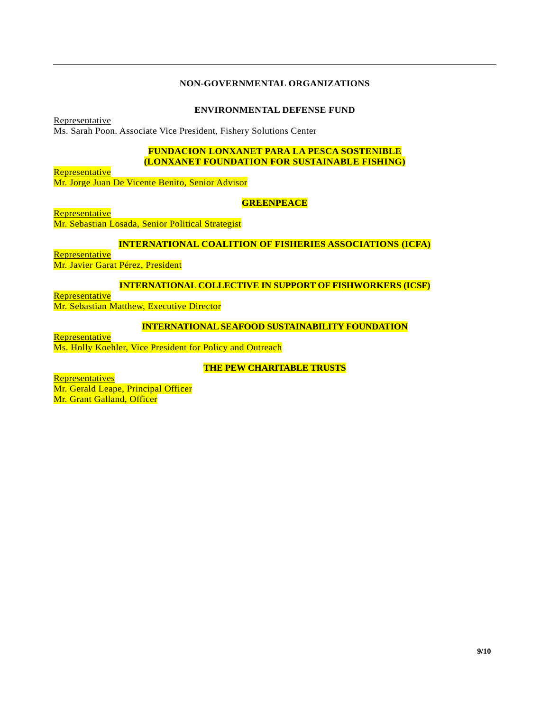## **NON-GOVERNMENTAL ORGANIZATIONS**

### **ENVIRONMENTAL DEFENSE FUND**

Representative

Ms. Sarah Poon. Associate Vice President, Fishery Solutions Center

# **FUNDACION LONXANET PARA LA PESCA SOSTENIBLE (LONXANET FOUNDATION FOR SUSTAINABLE FISHING)**

Representative

Mr. Jorge Juan De Vicente Benito, Senior Advisor

## **GREENPEACE**

**Representative** 

Mr. Sebastian Losada, Senior Political Strategist

## **INTERNATIONAL COALITION OF FISHERIES ASSOCIATIONS (ICFA)**

Representative Mr. Javier Garat Pérez, President

## **INTERNATIONAL COLLECTIVE IN SUPPORT OF FISHWORKERS (ICSF)**

**Representative** Mr. Sebastian Matthew, Executive Director

## **INTERNATIONAL SEAFOOD SUSTAINABILITY FOUNDATION**

**Representative** Ms. Holly Koehler, Vice President for Policy and Outreach

**THE PEW CHARITABLE TRUSTS**

**Representatives** 

Mr. Gerald Leape, Principal Officer Mr. Grant Galland, Officer